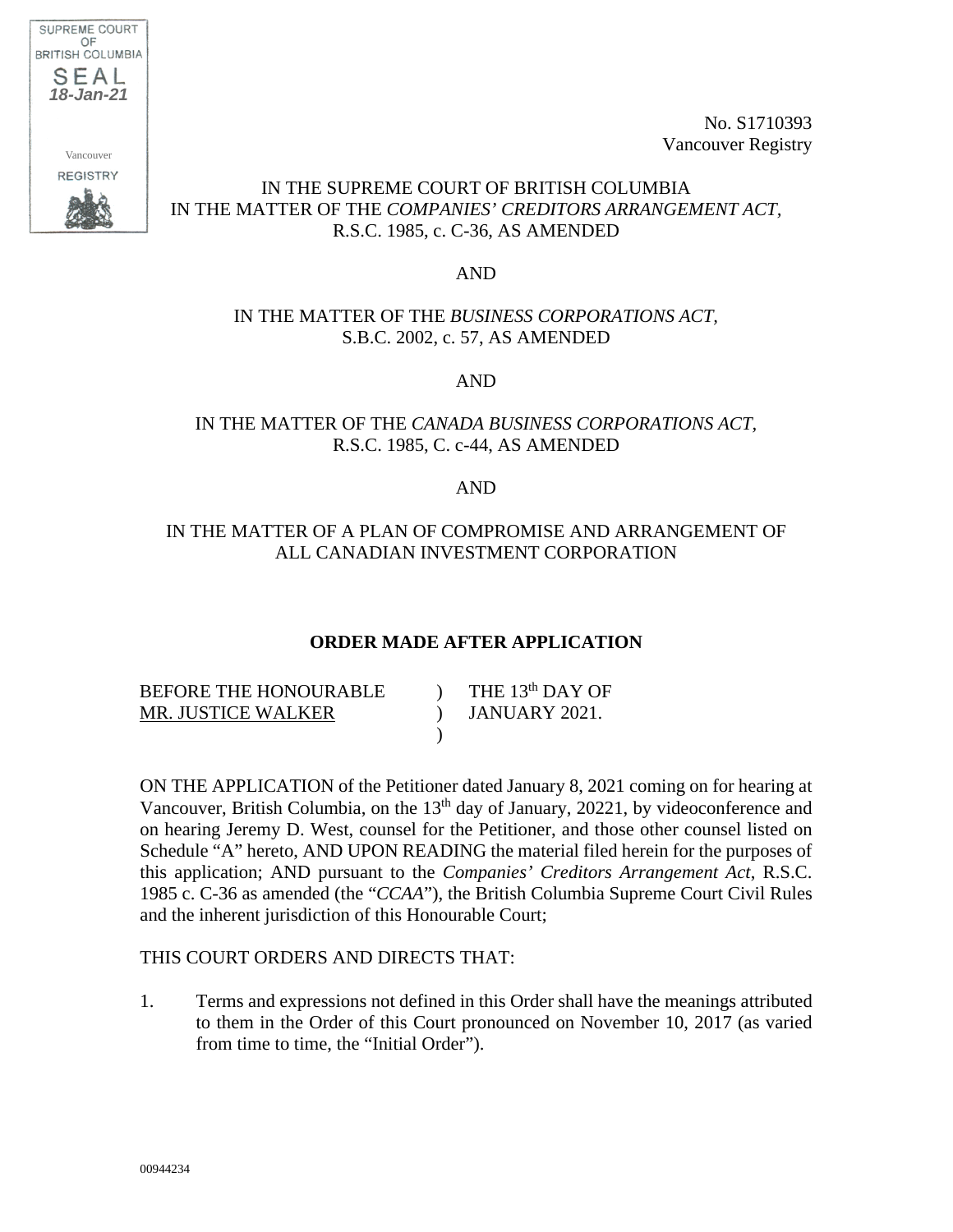

No. S1710393 Vancouver Registry

# IN THE SUPREME COURT OF BRITISH COLUMBIA IN THE MATTER OF THE *COMPANIES' CREDITORS ARRANGEMENT ACT,*  R.S.C. 1985, c. C-36, AS AMENDED

## AND

## IN THE MATTER OF THE *BUSINESS CORPORATIONS ACT,*  S.B.C. 2002, c. 57, AS AMENDED

AND

# IN THE MATTER OF THE *CANADA BUSINESS CORPORATIONS ACT,*  R.S.C. 1985, C. c-44, AS AMENDED

#### AND

# IN THE MATTER OF A PLAN OF COMPROMISE AND ARRANGEMENT OF ALL CANADIAN INVESTMENT CORPORATION

## **ORDER MADE AFTER APPLICATION**

| BEFORE THE HONOURABLE | THE $13th$ DAY OF |
|-----------------------|-------------------|
| MR. JUSTICE WALKER    | JANUARY 2021.     |
|                       |                   |

ON THE APPLICATION of the Petitioner dated January 8, 2021 coming on for hearing at Vancouver, British Columbia, on the  $13<sup>th</sup>$  day of January, 20221, by videoconference and on hearing Jeremy D. West, counsel for the Petitioner, and those other counsel listed on Schedule "A" hereto, AND UPON READING the material filed herein for the purposes of this application; AND pursuant to the *Companies' Creditors Arrangement Act*, R.S.C. 1985 c. C-36 as amended (the "*CCAA*"), the British Columbia Supreme Court Civil Rules and the inherent jurisdiction of this Honourable Court;

#### THIS COURT ORDERS AND DIRECTS THAT:

1. Terms and expressions not defined in this Order shall have the meanings attributed to them in the Order of this Court pronounced on November 10, 2017 (as varied from time to time, the "Initial Order").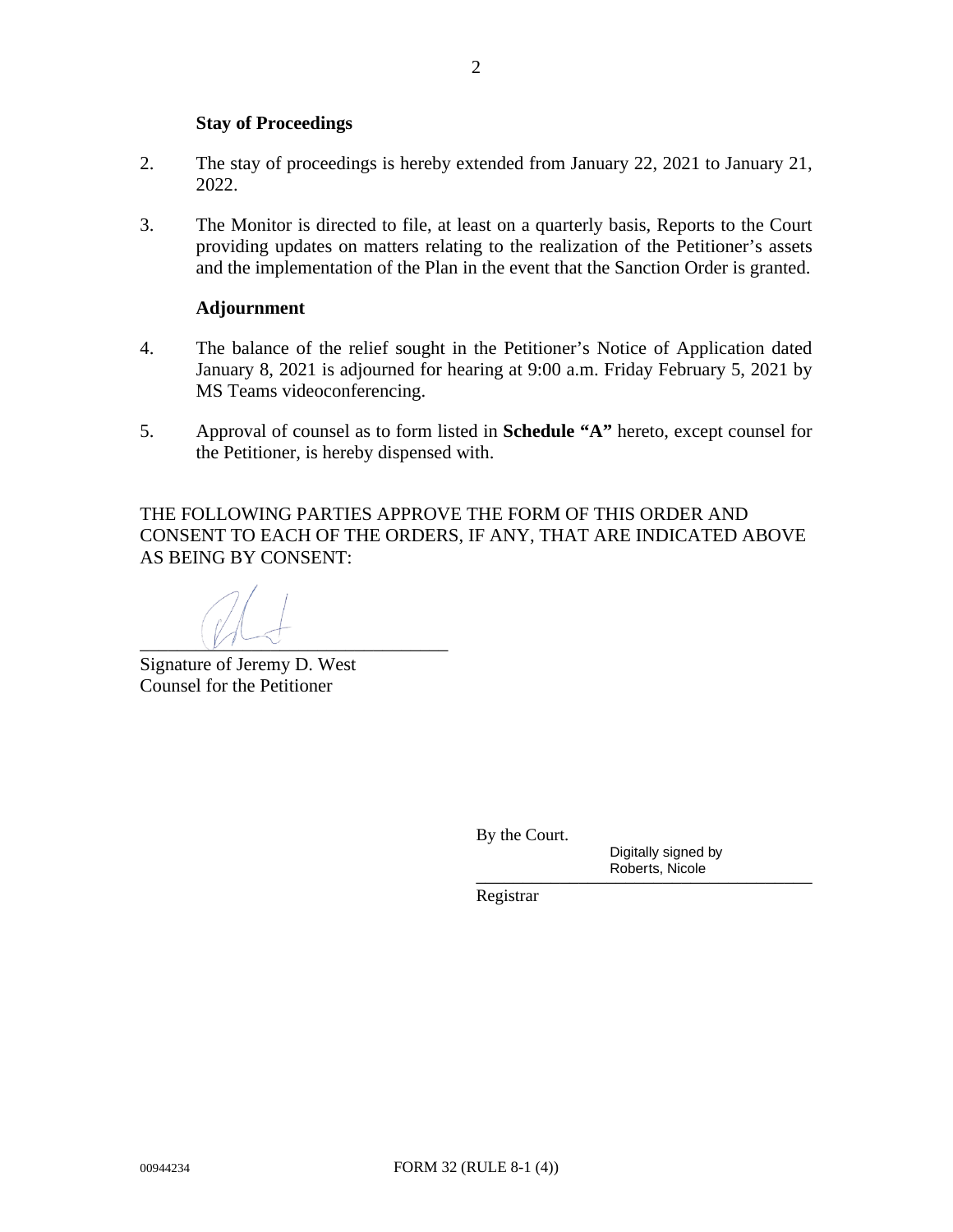#### **Stay of Proceedings**

- 2. The stay of proceedings is hereby extended from January 22, 2021 to January 21, 2022.
- 3. The Monitor is directed to file, at least on a quarterly basis, Reports to the Court providing updates on matters relating to the realization of the Petitioner's assets and the implementation of the Plan in the event that the Sanction Order is granted.

#### **Adjournment**

- 4. The balance of the relief sought in the Petitioner's Notice of Application dated January 8, 2021 is adjourned for hearing at 9:00 a.m. Friday February 5, 2021 by MS Teams videoconferencing.
- 5. Approval of counsel as to form listed in **Schedule "A"** hereto, except counsel for the Petitioner, is hereby dispensed with.

THE FOLLOWING PARTIES APPROVE THE FORM OF THIS ORDER AND CONSENT TO EACH OF THE ORDERS, IF ANY, THAT ARE INDICATED ABOVE AS BEING BY CONSENT:

 $\frac{1}{\sqrt{1-\Delta}}$ 

Signature of Jeremy D. West Counsel for the Petitioner

By the Court.

 \_\_\_\_\_\_\_\_\_\_\_\_\_\_\_\_\_\_\_\_\_\_\_\_\_\_\_\_\_\_\_\_\_\_\_\_ Digitally signed by Roberts, Nicole

Registrar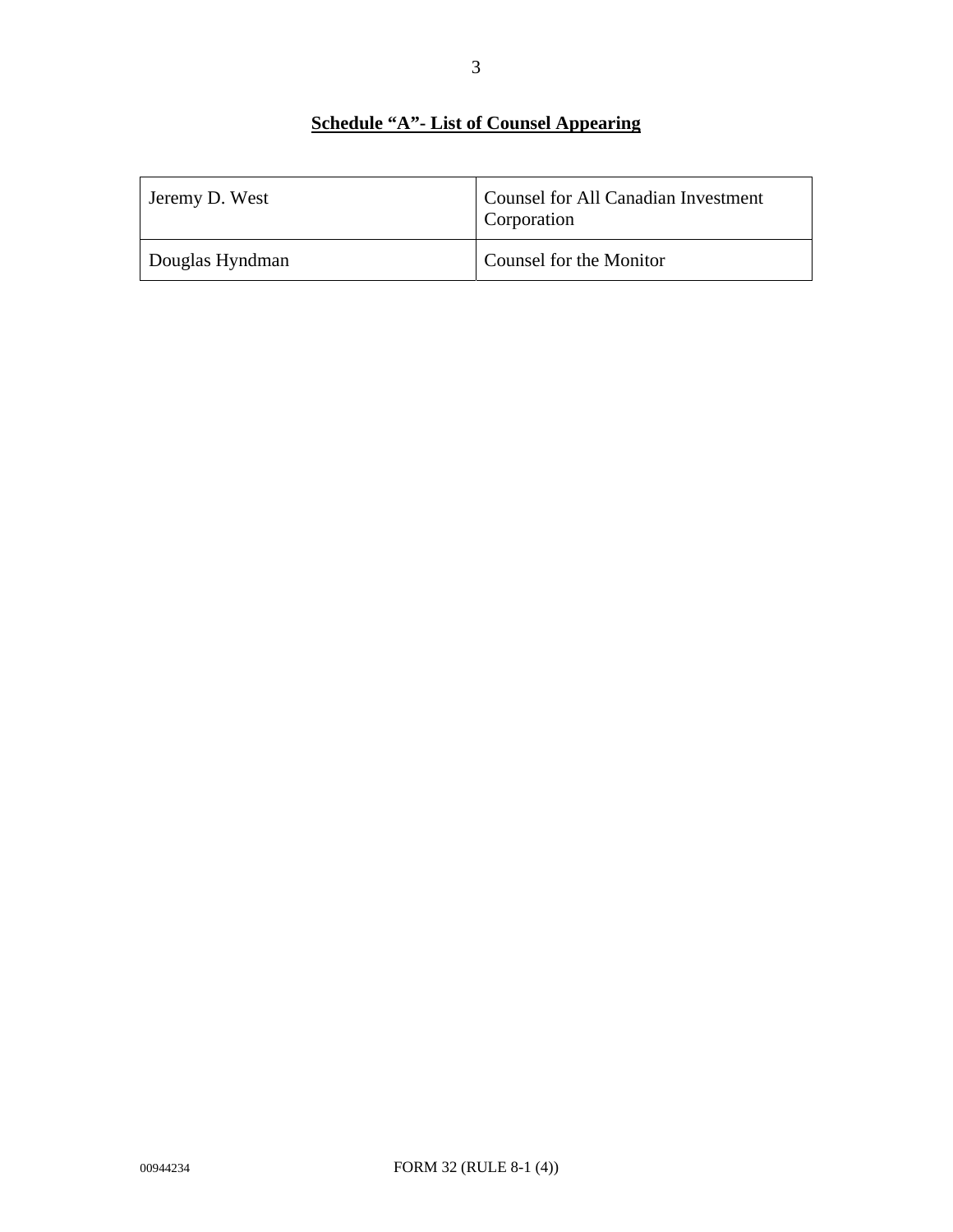# **Schedule "A"- List of Counsel Appearing**

| Jeremy D. West  | Counsel for All Canadian Investment<br>Corporation |
|-----------------|----------------------------------------------------|
| Douglas Hyndman | Counsel for the Monitor                            |